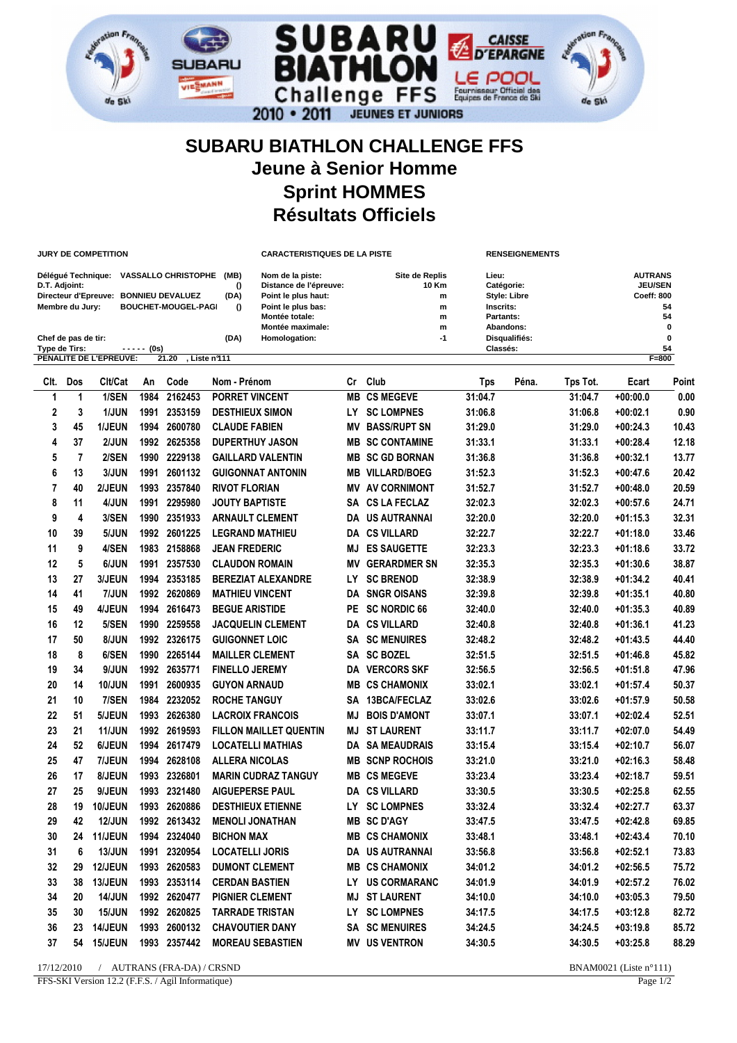

## **SUBARU BIATHLON CHALLENGE FFS Jeune à Senior Homme Sprint HOMMES Résultats Officiels**

|               |                     | JURY DE COMPETITION                                                                  |            |                            |                               | <b>CARACTERISTIQUES DE LA PISTE</b>                                                                                           |                        | <b>RENSEIGNEMENTS</b>                       |                                                                                   |          |                                                                                  |               |  |
|---------------|---------------------|--------------------------------------------------------------------------------------|------------|----------------------------|-------------------------------|-------------------------------------------------------------------------------------------------------------------------------|------------------------|---------------------------------------------|-----------------------------------------------------------------------------------|----------|----------------------------------------------------------------------------------|---------------|--|
| D.T. Adjoint: | Membre du Jury:     | Délégué Technique: VASSALLO CHRISTOPHE (MB)<br>Directeur d'Epreuve: BONNIEU DEVALUEZ |            | <b>BOUCHET-MOUGEL-PAGI</b> | $\Omega$<br>(DA)<br>$\Omega$  | Nom de la piste:<br>Distance de l'épreuve:<br>Point le plus haut:<br>Point le plus bas:<br>Montée totale:<br>Montée maximale: |                        | Site de Replis<br>10 Km<br>m<br>m<br>m<br>m | Lieu:<br>Catégorie:<br><b>Style: Libre</b><br>Inscrits:<br>Partants:<br>Abandons: |          | <b>AUTRANS</b><br><b>JEU/SEN</b><br><b>Coeff: 800</b><br>54<br>54<br>$\mathbf 0$ |               |  |
|               | Chef de pas de tir: |                                                                                      |            |                            | (DA)<br>Homologation:         |                                                                                                                               |                        | $-1$                                        | Disqualifiés:                                                                     |          |                                                                                  | 0             |  |
| Type de Tirs: |                     | PENALITE DE L'EPREUVE:                                                               | ----- (Os) | 21.20                      | , Liste n°111                 |                                                                                                                               |                        |                                             | Classés:                                                                          |          |                                                                                  | 54<br>$F=800$ |  |
| CIt.          | Dos                 | Clt/Cat                                                                              | An         | Code                       | Nom - Prénom                  |                                                                                                                               | Cr Club                | <b>Tps</b>                                  | Péna.                                                                             | Tps Tot. | Ecart                                                                            | Point         |  |
| 1             | 1                   | 1/SEN                                                                                | 1984       | 2162453                    | <b>PORRET VINCENT</b>         | MВ                                                                                                                            | <b>CS MEGEVE</b>       | 31:04.7                                     |                                                                                   | 31:04.7  | $+00:00.0$                                                                       | 0.00          |  |
| 2             | 3                   | <b>1/JUN</b>                                                                         | 1991       | 2353159                    | <b>DESTHIEUX SIMON</b>        | LY.                                                                                                                           | <b>SC LOMPNES</b>      | 31:06.8                                     |                                                                                   | 31:06.8  | $+00:02.1$                                                                       | 0.90          |  |
| 3             | 45                  | <b>1/JEUN</b>                                                                        | 1994       | 2600780                    | <b>CLAUDE FABIEN</b>          | MV                                                                                                                            | <b>BASS/RUPT SN</b>    | 31:29.0                                     |                                                                                   | 31:29.0  | $+00:24.3$                                                                       | 10.43         |  |
| 4             | 37                  | 2/JUN                                                                                |            | 1992 2625358               | <b>DUPERTHUY JASON</b>        | MВ                                                                                                                            | <b>SC CONTAMINE</b>    | 31:33.1                                     |                                                                                   | 31:33.1  | $+00:28.4$                                                                       | 12.18         |  |
| 5             | 7                   | 2/SEN                                                                                | 1990       | 2229138                    | <b>GAILLARD VALENTIN</b>      |                                                                                                                               | <b>MB SC GD BORNAN</b> | 31:36.8                                     |                                                                                   | 31:36.8  | $+00:32.1$                                                                       | 13.77         |  |
| 6             | 13                  | 3/JUN                                                                                | 1991       | 2601132                    | <b>GUIGONNAT ANTONIN</b>      | MB                                                                                                                            | <b>VILLARD/BOEG</b>    | 31:52.3                                     |                                                                                   | 31:52.3  | $+00:47.6$                                                                       | 20.42         |  |
| 7             | 40                  | 2/JEUN                                                                               | 1993       | 2357840                    | <b>RIVOT FLORIAN</b>          | MV                                                                                                                            | <b>AV CORNIMONT</b>    | 31:52.7                                     |                                                                                   | 31:52.7  | $+00:48.0$                                                                       | 20.59         |  |
| 8             | 11                  | 4/JUN                                                                                | 1991       | 2295980                    | <b>JOUTY BAPTISTE</b>         | SA                                                                                                                            | <b>CS LA FECLAZ</b>    | 32:02.3                                     |                                                                                   | 32:02.3  | $+00:57.6$                                                                       | 24.71         |  |
| 9             | 4                   | 3/SEN                                                                                | 1990       | 2351933                    | <b>ARNAULT CLEMENT</b>        |                                                                                                                               | <b>DA US AUTRANNAI</b> | 32:20.0                                     |                                                                                   | 32:20.0  | $+01:15.3$                                                                       | 32.31         |  |
| 10            | 39                  | 5/JUN                                                                                | 1992       | 2601225                    | <b>LEGRAND MATHIEU</b>        |                                                                                                                               | <b>DA CS VILLARD</b>   | 32:22.7                                     |                                                                                   | 32:22.7  | $+01:18.0$                                                                       | 33.46         |  |
| 11            | 9                   | 4/SEN                                                                                | 1983       | 2158868                    | <b>JEAN FREDERIC</b>          | MJ                                                                                                                            | <b>ES SAUGETTE</b>     | 32:23.3                                     |                                                                                   | 32:23.3  | $+01:18.6$                                                                       | 33.72         |  |
| 12            | 5                   | 6/JUN                                                                                | 1991       | 2357530                    | <b>CLAUDON ROMAIN</b>         | ΜV                                                                                                                            | <b>GERARDMER SN</b>    | 32:35.3                                     |                                                                                   | 32:35.3  | $+01:30.6$                                                                       | 38.87         |  |
| 13            | 27                  | <b>3/JEUN</b>                                                                        | 1994       | 2353185                    | <b>BEREZIAT ALEXANDRE</b>     | LΥ                                                                                                                            | <b>SC BRENOD</b>       | 32:38.9                                     |                                                                                   | 32:38.9  | +01:34.2                                                                         | 40.41         |  |
| 14            | 41                  | <b>7/JUN</b>                                                                         | 1992       | 2620869                    | <b>MATHIEU VINCENT</b>        | DA                                                                                                                            | <b>SNGR OISANS</b>     | 32:39.8                                     |                                                                                   | 32:39.8  | +01:35.1                                                                         | 40.80         |  |
| 15            | 49                  | <b>4/JEUN</b>                                                                        | 1994       | 2616473                    | <b>BEGUE ARISTIDE</b>         | PE                                                                                                                            | <b>SC NORDIC 66</b>    | 32:40.0                                     |                                                                                   | 32:40.0  | $+01:35.3$                                                                       | 40.89         |  |
| 16            | 12                  | 5/SEN                                                                                | 1990       | 2259558                    | <b>JACQUELIN CLEMENT</b>      |                                                                                                                               | <b>DA CS VILLARD</b>   | 32:40.8                                     |                                                                                   | 32:40.8  | +01:36.1                                                                         | 41.23         |  |
| 17            | 50                  | 8/JUN                                                                                |            | 1992 2326175               | <b>GUIGONNET LOIC</b>         | SA                                                                                                                            | <b>SC MENUIRES</b>     | 32:48.2                                     |                                                                                   | 32:48.2  | $+01:43.5$                                                                       | 44.40         |  |
| 18            | 8                   | 6/SEN                                                                                | 1990       | 2265144                    | <b>MAILLER CLEMENT</b>        |                                                                                                                               | <b>SA SC BOZEL</b>     | 32:51.5                                     |                                                                                   | 32:51.5  | $+01:46.8$                                                                       | 45.82         |  |
| 19            | 34                  | 9/JUN                                                                                | 1992       | 2635771                    | <b>FINELLO JEREMY</b>         |                                                                                                                               | <b>DA VERCORS SKF</b>  | 32:56.5                                     |                                                                                   | 32:56.5  | $+01:51.8$                                                                       | 47.96         |  |
| 20            | 14                  | <b>10/JUN</b>                                                                        | 1991       | 2600935                    | <b>GUYON ARNAUD</b>           | MВ                                                                                                                            | <b>CS CHAMONIX</b>     | 33:02.1                                     |                                                                                   | 33:02.1  | $+01:57.4$                                                                       | 50.37         |  |
| 21            | 10                  | 7/SEN                                                                                | 1984       | 2232052                    | <b>ROCHE TANGUY</b>           | SΑ                                                                                                                            | 13BCA/FECLAZ           | 33:02.6                                     |                                                                                   | 33:02.6  | $+01:57.9$                                                                       | 50.58         |  |
| 22            | 51                  | <b>5/JEUN</b>                                                                        | 1993       | 2626380                    | <b>LACROIX FRANCOIS</b>       | MJ                                                                                                                            | <b>BOIS D'AMONT</b>    | 33:07.1                                     |                                                                                   | 33:07.1  | +02:02.4                                                                         | 52.51         |  |
| 23            | 21                  | <b>11/JUN</b>                                                                        | 1992       | 2619593                    | <b>FILLON MAILLET QUENTIN</b> | MJ                                                                                                                            | <b>ST LAURENT</b>      | 33:11.7                                     |                                                                                   | 33:11.7  | $+02:07.0$                                                                       | 54.49         |  |
| 24            | 52                  | 6/JEUN                                                                               | 1994       | 2617479                    | <b>LOCATELLI MATHIAS</b>      | DA                                                                                                                            | <b>SA MEAUDRAIS</b>    | 33:15.4                                     |                                                                                   | 33:15.4  | $+02:10.7$                                                                       | 56.07         |  |
| 25            | 47                  | <b>7/JEUN</b>                                                                        | 1994       | 2628108                    | <b>ALLERA NICOLAS</b>         | MB                                                                                                                            | <b>SCNP ROCHOIS</b>    | 33:21.0                                     |                                                                                   | 33:21.0  | $+02:16.3$                                                                       | 58.48         |  |
| 26            | 17                  | <b>8/JEUN</b>                                                                        | 1993       | 2326801                    | <b>MARIN CUDRAZ TANGUY</b>    | MB                                                                                                                            | <b>CS MEGEVE</b>       | 33:23.4                                     |                                                                                   | 33:23.4  | $+02:18.7$                                                                       | 59.51         |  |
| 27            | 25                  | 9/JEUN                                                                               | 1993       | 2321480                    | <b>AIGUEPERSE PAUL</b>        |                                                                                                                               | <b>DA CS VILLARD</b>   | 33:30.5                                     |                                                                                   | 33:30.5  | $+02:25.8$                                                                       | 62.55         |  |
| 28            |                     | 19 10/JEUN                                                                           |            | 1993 2620886               | <b>DESTHIEUX ETIENNE</b>      |                                                                                                                               | LY SC LOMPNES          | 33:32.4                                     |                                                                                   | 33:32.4  | $+02:27.7$                                                                       | 63.37         |  |
| 29            | 42                  | <b>12/JUN</b>                                                                        |            | 1992 2613432               | <b>MENOLI JONATHAN</b>        |                                                                                                                               | <b>MB SC D'AGY</b>     | 33:47.5                                     |                                                                                   | 33:47.5  | $+02:42.8$                                                                       | 69.85         |  |
| 30            | 24                  | 11/JEUN                                                                              |            | 1994 2324040               | <b>BICHON MAX</b>             |                                                                                                                               | <b>MB CS CHAMONIX</b>  | 33:48.1                                     |                                                                                   | 33:48.1  | $+02:43.4$                                                                       | 70.10         |  |
| 31            | 6                   | <b>13/JUN</b>                                                                        |            | 1991 2320954               | <b>LOCATELLI JORIS</b>        |                                                                                                                               | DA US AUTRANNAI        | 33:56.8                                     |                                                                                   | 33:56.8  | $+02:52.1$                                                                       | 73.83         |  |
| 32            | 29                  | 12/JEUN                                                                              |            | 1993 2620583               | <b>DUMONT CLEMENT</b>         |                                                                                                                               | <b>MB CS CHAMONIX</b>  | 34:01.2                                     |                                                                                   | 34:01.2  | $+02:56.5$                                                                       | 75.72         |  |
| 33            | 38                  | 13/JEUN                                                                              |            | 1993 2353114               | <b>CERDAN BASTIEN</b>         |                                                                                                                               | LY US CORMARANC        | 34:01.9                                     |                                                                                   | 34:01.9  | $+02:57.2$                                                                       | 76.02         |  |
| 34            | 20                  | <b>14/JUN</b>                                                                        |            | 1992 2620477               | <b>PIGNIER CLEMENT</b>        |                                                                                                                               | <b>MJ ST LAURENT</b>   | 34:10.0                                     |                                                                                   | 34:10.0  | $+03:05.3$                                                                       | 79.50         |  |
| 35            | 30                  | <b>15/JUN</b>                                                                        |            | 1992 2620825               | <b>TARRADE TRISTAN</b>        |                                                                                                                               | LY SC LOMPNES          | 34:17.5                                     |                                                                                   | 34:17.5  | $+03:12.8$                                                                       | 82.72         |  |
| 36            | 23                  | 14/JEUN                                                                              |            | 1993 2600132               | <b>CHAVOUTIER DANY</b>        |                                                                                                                               | <b>SA SC MENUIRES</b>  | 34:24.5                                     |                                                                                   | 34:24.5  | $+03:19.8$                                                                       | 85.72         |  |
| 37            | 54                  | 15/JEUN                                                                              |            | 1993 2357442               | <b>MOREAU SEBASTIEN</b>       |                                                                                                                               | <b>MV US VENTRON</b>   | 34:30.5                                     |                                                                                   | 34:30.5  | $+03:25.8$                                                                       | 88.29         |  |
| 17/12/2010    |                     |                                                                                      |            | / AUTRANS (FRA-DA) / CRSND |                               |                                                                                                                               |                        |                                             |                                                                                   |          | BNAM0021 (Liste n°111)                                                           |               |  |

FFS-SKI Version 12.2 (F.F.S. / Agil Informatique) Page 1/2